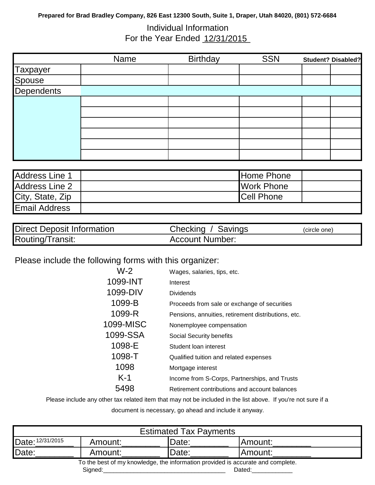## **Prepared for Brad Bradley Company, 826 East 12300 South, Suite 1, Draper, Utah 84020, (801) 572-6684**

# Individual Information For the Year Ended 12/31/2015

|            | Name | <b>Birthday</b> | <b>SSN</b> | <b>Student? Disabled?</b> |
|------------|------|-----------------|------------|---------------------------|
| Taxpayer   |      |                 |            |                           |
| Spouse     |      |                 |            |                           |
| Dependents |      |                 |            |                           |
|            |      |                 |            |                           |
|            |      |                 |            |                           |
|            |      |                 |            |                           |
|            |      |                 |            |                           |
|            |      |                 |            |                           |
|            |      |                 |            |                           |

| Address Line 1        | Home Phone         |  |
|-----------------------|--------------------|--|
| Address Line 2        | <b>Work Phone</b>  |  |
| City, State, Zip      | <b>ICell Phone</b> |  |
| <b>IEmail Address</b> |                    |  |

| <b>Direct Deposit Information</b> | Checking / Savings     | (circle one) |
|-----------------------------------|------------------------|--------------|
| Routing/Transit:                  | <b>Account Number:</b> |              |

# Please include the following forms with this organizer:

| $W-2$     | Wages, salaries, tips, etc.                         |
|-----------|-----------------------------------------------------|
| 1099-INT  | Interest                                            |
| 1099-DIV  | Dividends                                           |
| 1099-B    | Proceeds from sale or exchange of securities        |
| 1099-R    | Pensions, annuities, retirement distributions, etc. |
| 1099-MISC | Nonemployee compensation                            |
| 1099-SSA  | Social Security benefits                            |
| 1098-E    | Student Ioan interest                               |
| 1098-T    | Qualified tuition and related expenses              |
| 1098      | Mortgage interest                                   |
| $K-1$     | Income from S-Corps, Partnerships, and Trusts       |
| 5498      | Retirement contributions and account balances       |

Please include any other tax related item that may not be included in the list above. If you're not sure if a document is necessary, go ahead and include it anyway.

| <b>Estimated Tax Payments</b>                                                   |                          |               |         |  |  |  |  |  |
|---------------------------------------------------------------------------------|--------------------------|---------------|---------|--|--|--|--|--|
| Date: 12/31/2015                                                                | <b>IDate:</b><br>Amount: | Amount:       |         |  |  |  |  |  |
| Date:                                                                           | Amount:                  | <b>IDate:</b> | Amount: |  |  |  |  |  |
| To the best of my knowledge, the information provided is accurate and complete. |                          |               |         |  |  |  |  |  |
|                                                                                 | Signed:                  |               | Dated:  |  |  |  |  |  |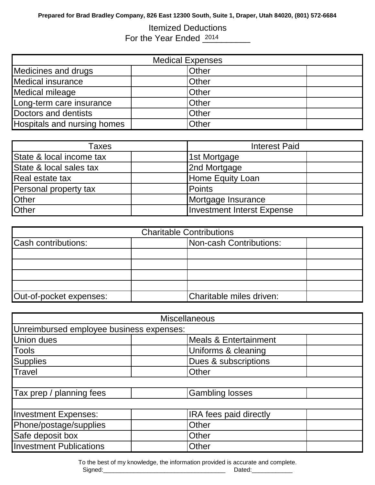# Itemized Deductions For the Year Ended 2014

| <b>Medical Expenses</b>     |              |  |  |  |  |  |  |
|-----------------------------|--------------|--|--|--|--|--|--|
| Medicines and drugs         | <b>Other</b> |  |  |  |  |  |  |
| Medical insurance           | <b>Other</b> |  |  |  |  |  |  |
| Medical mileage             | <b>Other</b> |  |  |  |  |  |  |
| Long-term care insurance    | <b>Other</b> |  |  |  |  |  |  |
| Doctors and dentists        | Other        |  |  |  |  |  |  |
| Hospitals and nursing homes | Other        |  |  |  |  |  |  |

| Taxes                    | <b>Interest Paid</b>              |  |  |  |  |
|--------------------------|-----------------------------------|--|--|--|--|
| State & local income tax | 1st Mortgage                      |  |  |  |  |
| State & local sales tax  | 2nd Mortgage                      |  |  |  |  |
| Real estate tax          | Home Equity Loan                  |  |  |  |  |
| Personal property tax    | Points                            |  |  |  |  |
| Other                    | Mortgage Insurance                |  |  |  |  |
| <b>Other</b>             | <b>Investment Interst Expense</b> |  |  |  |  |

| <b>Charitable Contributions</b> |                         |                          |  |  |  |  |  |  |  |
|---------------------------------|-------------------------|--------------------------|--|--|--|--|--|--|--|
| Cash contributions:             | Non-cash Contributions: |                          |  |  |  |  |  |  |  |
|                                 |                         |                          |  |  |  |  |  |  |  |
|                                 |                         |                          |  |  |  |  |  |  |  |
|                                 |                         |                          |  |  |  |  |  |  |  |
|                                 |                         |                          |  |  |  |  |  |  |  |
| Out-of-pocket expenses:         |                         | Charitable miles driven: |  |  |  |  |  |  |  |

|                                          | <b>Miscellaneous</b>          |  |
|------------------------------------------|-------------------------------|--|
| Unreimbursed employee business expenses: |                               |  |
| <b>Union dues</b>                        | Meals & Entertainment         |  |
| <b>Tools</b>                             | Uniforms & cleaning           |  |
| <b>Supplies</b>                          | Dues & subscriptions          |  |
| <b>Travel</b>                            | Other                         |  |
|                                          |                               |  |
| Tax prep / planning fees                 | <b>Gambling losses</b>        |  |
|                                          |                               |  |
| <b>Investment Expenses:</b>              | <b>IRA</b> fees paid directly |  |
| Phone/postage/supplies                   | Other                         |  |
| Safe deposit box                         | Other                         |  |
| <b>Investment Publications</b>           | Other                         |  |

To the best of my knowledge, the information provided is accurate and complete.

Signed:\_\_\_\_\_\_\_\_\_\_\_\_\_\_\_\_\_\_\_\_\_\_\_\_\_\_\_\_\_\_\_\_\_\_\_\_ Dated:\_\_\_\_\_\_\_\_\_\_\_\_